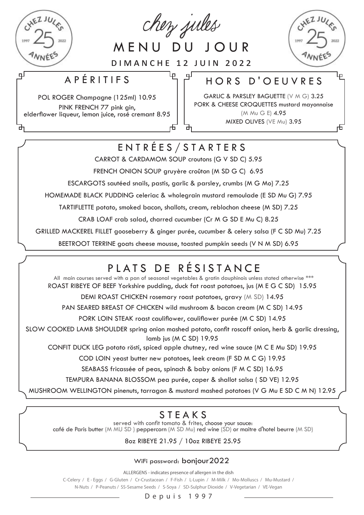

لو

chez jules

MENU DU JOUR

DIMANCHE 12 JUIN 2022

்பு

لبا

正

### APÉRITIFS

POL ROGER Champagne (125ml) 10.95 PINK FRENCH 77 pink gin, elderflower liqueur, lemon juice, rosé cremant 8.95

### HORS D'OEUVRES

GARLIC & PARSLEY BAGUETTE (V M G) 3.25 PORK & CHEESE CROQUETTES mustard mayonnaise (M Mu G E) 4.95 MIXED OLIVES (VE Mu) 3.95

币

## ENTRÉES/STARTERS

CARROT & CARDAMOM SOUP croutons (G V SD C) 5.95

FRENCH ONION SOUP gruyère croûton (M SD G C) 6.95

ESCARGOTS sautéed snails, pastis, garlic & parsley, crumbs (M G Mo) 7.25

HOMEMADE BLACK PUDDING celeriac & wholegrain mustard remoulade (E SD Mu G) 7.95

TARTIFLETTE potato, smoked bacon, shallots, cream, reblochon cheese (M SD) 7.25

CRAB LOAF crab salad, charred cucumber (Cr M G SD E Mu C) 8.25

GRILLED MACKEREL FILLET gooseberry & ginger purée, cucumber & celery salsa (F C SD Mu) 7.25

BEETROOT TERRINE goats cheese mousse, toasted pumpkin seeds (V N M SD) 6.95

# PLATS DE RÉSISTANCE

All main courses served with a pan of seasonal vegetables & gratin dauphinois unless stated otherwise \*\*\* ROAST RIBEYE OF BEEF Yorkshire pudding, duck fat roast potatoes, jus (M E G C SD) 15.95

DEMI ROAST CHICKEN rosemary roast potatoes, gravy (M SD) 14.95

PAN SEARED BREAST OF CHICKEN wild mushroom & bacon cream (M C SD) 14.95

PORK LOIN STEAK roast cauliflower, cauliflower purée (M C SD) 14.95

SLOW COOKED LAMB SHOULDER spring onion mashed potato, confit roscoff onion, herb & garlic dressing, lamb jus (M C SD) 19.95

CONFIT DUCK LEG potato rösti, spiced apple chutney, red wine sauce (M C E Mu SD) 19.95

COD LOIN yeast butter new potatoes, leek cream (F SD M C G) 19.95

SEABASS fricassée of peas, spinach & baby onions (F M C SD) 16.95

TEMPURA BANANA BLOSSOM pea purée, caper & shallot salsa ( SD VE) 12.95

MUSHROOM WELLINGTON pinenuts, tarragon & mustard mashed potatoes (V G Mu E SD C M N) 12.95

### STEAKS

served with confit tomato & frites, choose your sauce: café de Paris butter (M MU SD ) peppercorn (M SD Mu) red wine (SD) or maitre d'hotel beurre (M SD)

8oz RIBEYE 21.95 / 10oz RIBEYE 25.95

#### WiFi password: bonjour2022

ALLERGENS - indicates presence of allergen in the dish

C-Celery / E - Eggs / G-Gluten / Cr-Crustacean / F-Fish / L-Lupin / M-Milk / Mo-Molluscs / Mu-Mustard / N-Nuts / P-Peanuts / SS-Sesame Seeds / S-Soya / SD-Sulphur Dioxide / V-Vegetarian / VE-Vegan

Depuis 1997